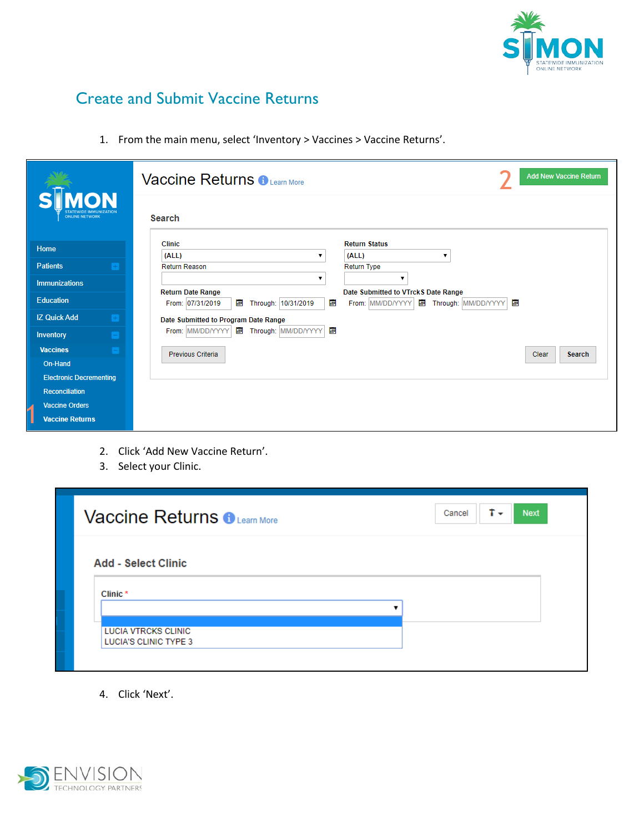

## Create and Submit Vaccine Returns

1. From the main menu, select 'Inventory > Vaccines > Vaccine Returns'.

| <b>NON</b>                            | <b>Add New Vaccine Return</b><br><b>Vaccine Returns o Learn More</b>                                   |
|---------------------------------------|--------------------------------------------------------------------------------------------------------|
| ONLINE NETWORK                        | Search                                                                                                 |
| Home                                  | <b>Return Status</b><br><b>Clinic</b>                                                                  |
| <b>Patients</b><br>$\left  + \right $ | (ALL)<br>(ALL)<br><b>Return Reason</b><br>Return Type                                                  |
| <b>Immunizations</b>                  | ▼                                                                                                      |
| <b>Education</b>                      | <b>Return Date Range</b><br>Date Submitted to VTrckS Date Range                                        |
|                                       | 圛<br>團<br>冒<br>From: 07/31/2019<br>画<br>From: MM/DD/YYYY<br>Through: 10/31/2019<br>Through: MM/DD/YYYY |
| <b>IZ Quick Add</b><br>H              | Date Submitted to Program Date Range                                                                   |
| <b>Inventory</b>                      | 團<br>From: MM/DD/YYYY<br>Through: MM/DD/YYYY<br>團                                                      |
| <b>Vaccines</b><br>ıн                 | Previous Criteria<br>Clear<br>Search                                                                   |
| On-Hand                               |                                                                                                        |
| <b>Electronic Decrementing</b>        |                                                                                                        |
| <b>Reconciliation</b>                 |                                                                                                        |
| <b>Vaccine Orders</b>                 |                                                                                                        |
| <b>Vaccine Returns</b>                |                                                                                                        |

- 2. Click 'Add New Vaccine Return'.
- 3. Select your Clinic.

| Ť×<br>Cancel<br><b>Next</b><br><b>Vaccine Returns BLearn More</b> |
|-------------------------------------------------------------------|
| <b>Add - Select Clinic</b>                                        |
| Clinic <sup>*</sup>                                               |
| <b>LUCIA VTRCKS CLINIC</b><br><b>LUCIA'S CLINIC TYPE 3</b>        |

4. Click 'Next'.

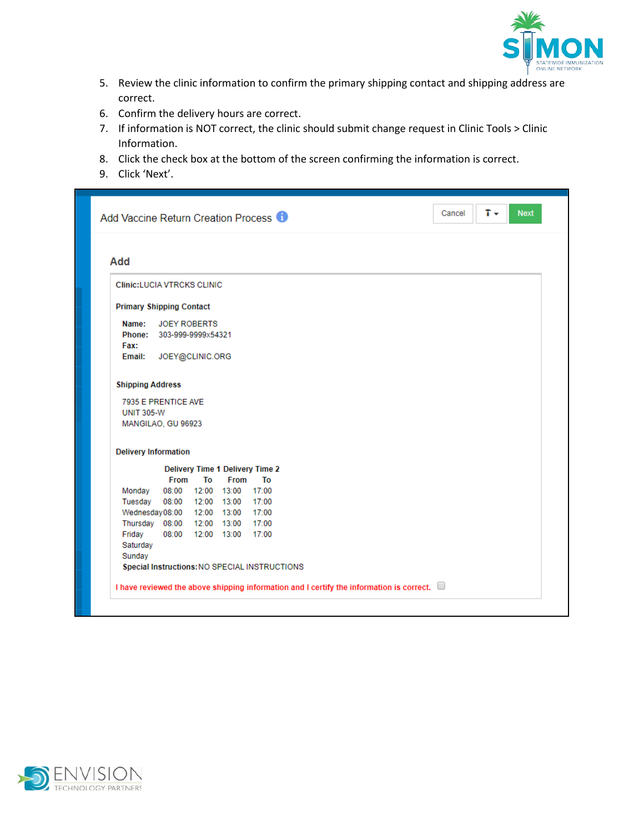

- 5. Review the clinic information to confirm the primary shipping contact and shipping address are correct.
- 6. Confirm the delivery hours are correct.
- 7. If information is NOT correct, the clinic should submit change request in Clinic Tools > Clinic Information.
- 8. Click the check box at the bottom of the screen confirming the information is correct.
- 9. Click 'Next'.

|                                                                                         |                                        |    |                                                                   | Add Vaccine Return Creation Process <b>O</b>                                             |  |  |  |  |
|-----------------------------------------------------------------------------------------|----------------------------------------|----|-------------------------------------------------------------------|------------------------------------------------------------------------------------------|--|--|--|--|
| Add                                                                                     |                                        |    |                                                                   |                                                                                          |  |  |  |  |
| <b>Clinic:LUCIA VTRCKS CLINIC</b>                                                       |                                        |    |                                                                   |                                                                                          |  |  |  |  |
| <b>Primary Shipping Contact</b>                                                         |                                        |    |                                                                   |                                                                                          |  |  |  |  |
| Name:<br>Phone: 303-999-9999x54321<br>Fax:<br>Email:                                    | <b>JOEY ROBERTS</b><br>JOEY@CLINIC.ORG |    |                                                                   |                                                                                          |  |  |  |  |
| <b>Shipping Address</b>                                                                 |                                        |    |                                                                   |                                                                                          |  |  |  |  |
| 7935 E PRENTICE AVE<br><b>UNIT 305-W</b><br>MANGILAO, GU 96923                          |                                        |    |                                                                   |                                                                                          |  |  |  |  |
| <b>Delivery Information</b>                                                             |                                        |    |                                                                   |                                                                                          |  |  |  |  |
|                                                                                         |                                        |    |                                                                   | <b>Delivery Time 1 Delivery Time 2</b>                                                   |  |  |  |  |
| Monday<br>Tuesday<br>Wednesday08:00 12:00 13:00<br>Thursday 08:00 12:00 13:00<br>Friday | <b>From</b><br>08:00 12:00 13:00       | To | <b>From</b><br>08:00 12:00 13:00 17:00<br>08:00 12:00 13:00 17:00 | To<br>17:00<br>17:00<br>17:00                                                            |  |  |  |  |
| Saturday<br>Sunday                                                                      |                                        |    |                                                                   | Special Instructions: NO SPECIAL INSTRUCTIONS                                            |  |  |  |  |
|                                                                                         |                                        |    |                                                                   | I have reviewed the above shipping information and I certify the information is correct. |  |  |  |  |